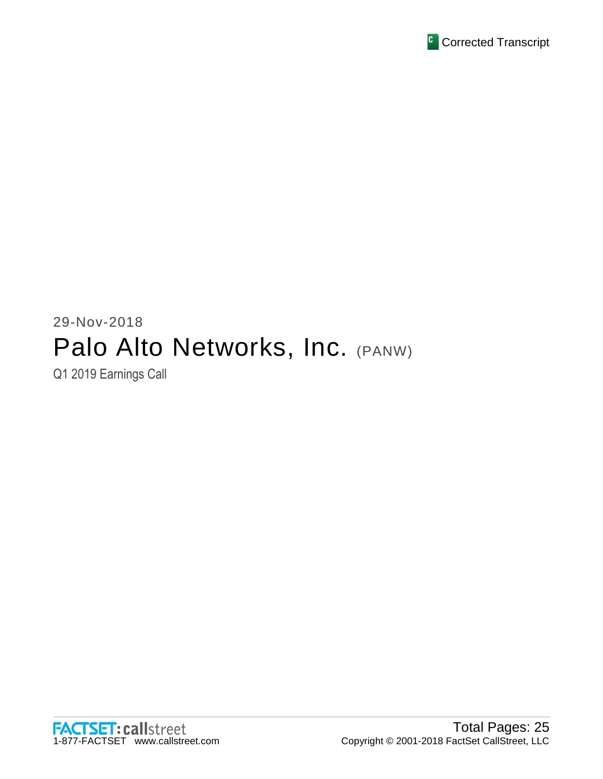

# 29-Nov-2018 Palo Alto Networks, Inc. (PANW) Q1 2019 Earnings Call

**FACTSET: callstreet** 1-877-FACTSET www.callstreet.com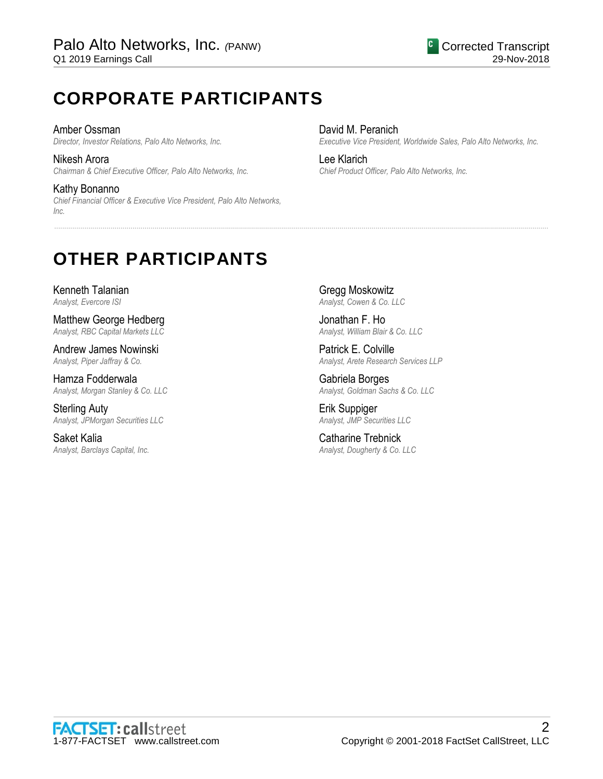# **CORPORATE PARTICIPANTS**

Amber Ossman *Director, Investor Relations, Palo Alto Networks, Inc.*

Nikesh Arora *Chairman & Chief Executive Officer, Palo Alto Networks, Inc.*

Kathy Bonanno *Chief Financial Officer & Executive Vice President, Palo Alto Networks, Inc.*

David M. Peranich *Executive Vice President, Worldwide Sales, Palo Alto Networks, Inc.*

Lee Klarich *Chief Product Officer, Palo Alto Networks, Inc.*

# **OTHER PARTICIPANTS**

Kenneth Talanian *Analyst, Evercore ISI*

Matthew George Hedberg *Analyst, RBC Capital Markets LLC*

Andrew James Nowinski *Analyst, Piper Jaffray & Co.*

Hamza Fodderwala *Analyst, Morgan Stanley & Co. LLC*

Sterling Auty *Analyst, JPMorgan Securities LLC*

Saket Kalia *Analyst, Barclays Capital, Inc.* Gregg Moskowitz *Analyst, Cowen & Co. LLC*

......................................................................................................................................................................................................................................................

Jonathan F. Ho *Analyst, William Blair & Co. LLC*

Patrick E. Colville *Analyst, Arete Research Services LLP*

Gabriela Borges *Analyst, Goldman Sachs & Co. LLC*

Erik Suppiger *Analyst, JMP Securities LLC*

Catharine Trebnick *Analyst, Dougherty & Co. LLC*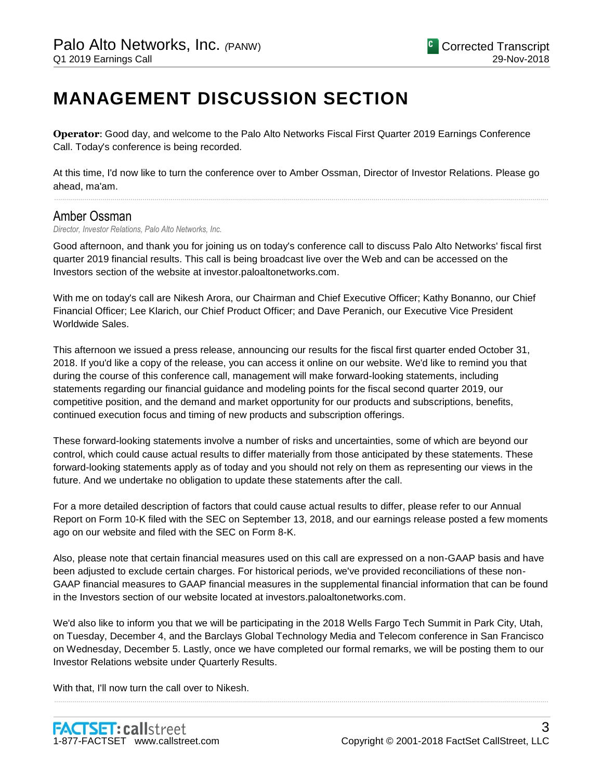# **MANAGEMENT DISCUSSION SECTION**

**Operator**: Good day, and welcome to the Palo Alto Networks Fiscal First Quarter 2019 Earnings Conference Call. Today's conference is being recorded.

At this time, I'd now like to turn the conference over to Amber Ossman, Director of Investor Relations. Please go ahead, ma'am.

......................................................................................................................................................................................................................................................

# Amber Ossman

*Director, Investor Relations, Palo Alto Networks, Inc.*

Good afternoon, and thank you for joining us on today's conference call to discuss Palo Alto Networks' fiscal first quarter 2019 financial results. This call is being broadcast live over the Web and can be accessed on the Investors section of the website at investor.paloaltonetworks.com.

With me on today's call are Nikesh Arora, our Chairman and Chief Executive Officer; Kathy Bonanno, our Chief Financial Officer; Lee Klarich, our Chief Product Officer; and Dave Peranich, our Executive Vice President Worldwide Sales.

This afternoon we issued a press release, announcing our results for the fiscal first quarter ended October 31, 2018. If you'd like a copy of the release, you can access it online on our website. We'd like to remind you that during the course of this conference call, management will make forward-looking statements, including statements regarding our financial guidance and modeling points for the fiscal second quarter 2019, our competitive position, and the demand and market opportunity for our products and subscriptions, benefits, continued execution focus and timing of new products and subscription offerings.

These forward-looking statements involve a number of risks and uncertainties, some of which are beyond our control, which could cause actual results to differ materially from those anticipated by these statements. These forward-looking statements apply as of today and you should not rely on them as representing our views in the future. And we undertake no obligation to update these statements after the call.

For a more detailed description of factors that could cause actual results to differ, please refer to our Annual Report on Form 10-K filed with the SEC on September 13, 2018, and our earnings release posted a few moments ago on our website and filed with the SEC on Form 8-K.

Also, please note that certain financial measures used on this call are expressed on a non-GAAP basis and have been adjusted to exclude certain charges. For historical periods, we've provided reconciliations of these non-GAAP financial measures to GAAP financial measures in the supplemental financial information that can be found in the Investors section of our website located at investors.paloaltonetworks.com.

We'd also like to inform you that we will be participating in the 2018 Wells Fargo Tech Summit in Park City, Utah, on Tuesday, December 4, and the Barclays Global Technology Media and Telecom conference in San Francisco on Wednesday, December 5. Lastly, once we have completed our formal remarks, we will be posting them to our Investor Relations website under Quarterly Results.

......................................................................................................................................................................................................................................................

With that, I'll now turn the call over to Nikesh.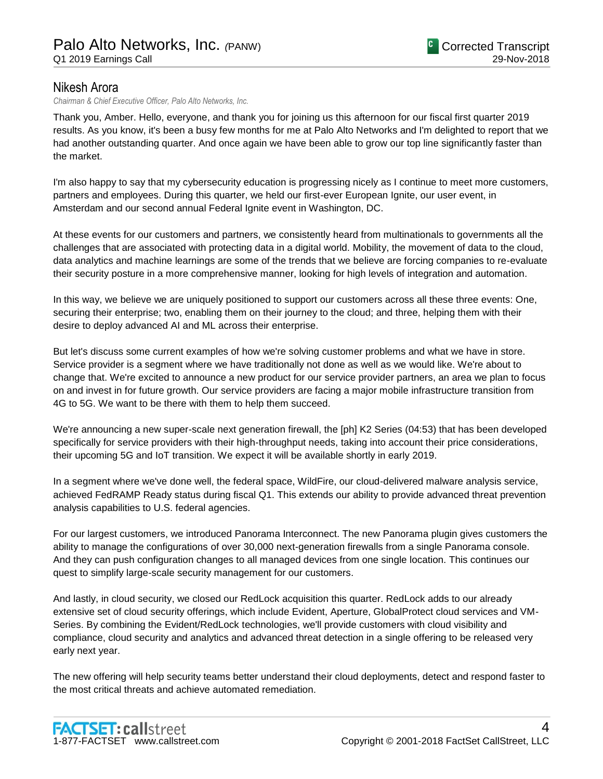# Nikesh Arora

*Chairman & Chief Executive Officer, Palo Alto Networks, Inc.*

Thank you, Amber. Hello, everyone, and thank you for joining us this afternoon for our fiscal first quarter 2019 results. As you know, it's been a busy few months for me at Palo Alto Networks and I'm delighted to report that we had another outstanding quarter. And once again we have been able to grow our top line significantly faster than the market.

I'm also happy to say that my cybersecurity education is progressing nicely as I continue to meet more customers, partners and employees. During this quarter, we held our first-ever European Ignite, our user event, in Amsterdam and our second annual Federal Ignite event in Washington, DC.

At these events for our customers and partners, we consistently heard from multinationals to governments all the challenges that are associated with protecting data in a digital world. Mobility, the movement of data to the cloud, data analytics and machine learnings are some of the trends that we believe are forcing companies to re-evaluate their security posture in a more comprehensive manner, looking for high levels of integration and automation.

In this way, we believe we are uniquely positioned to support our customers across all these three events: One, securing their enterprise; two, enabling them on their journey to the cloud; and three, helping them with their desire to deploy advanced AI and ML across their enterprise.

But let's discuss some current examples of how we're solving customer problems and what we have in store. Service provider is a segment where we have traditionally not done as well as we would like. We're about to change that. We're excited to announce a new product for our service provider partners, an area we plan to focus on and invest in for future growth. Our service providers are facing a major mobile infrastructure transition from 4G to 5G. We want to be there with them to help them succeed.

We're announcing a new super-scale next generation firewall, the [ph] K2 Series (04:53) that has been developed specifically for service providers with their high-throughput needs, taking into account their price considerations, their upcoming 5G and IoT transition. We expect it will be available shortly in early 2019.

In a segment where we've done well, the federal space, WildFire, our cloud-delivered malware analysis service, achieved FedRAMP Ready status during fiscal Q1. This extends our ability to provide advanced threat prevention analysis capabilities to U.S. federal agencies.

For our largest customers, we introduced Panorama Interconnect. The new Panorama plugin gives customers the ability to manage the configurations of over 30,000 next-generation firewalls from a single Panorama console. And they can push configuration changes to all managed devices from one single location. This continues our quest to simplify large-scale security management for our customers.

And lastly, in cloud security, we closed our RedLock acquisition this quarter. RedLock adds to our already extensive set of cloud security offerings, which include Evident, Aperture, GlobalProtect cloud services and VM-Series. By combining the Evident/RedLock technologies, we'll provide customers with cloud visibility and compliance, cloud security and analytics and advanced threat detection in a single offering to be released very early next year.

The new offering will help security teams better understand their cloud deployments, detect and respond faster to the most critical threats and achieve automated remediation.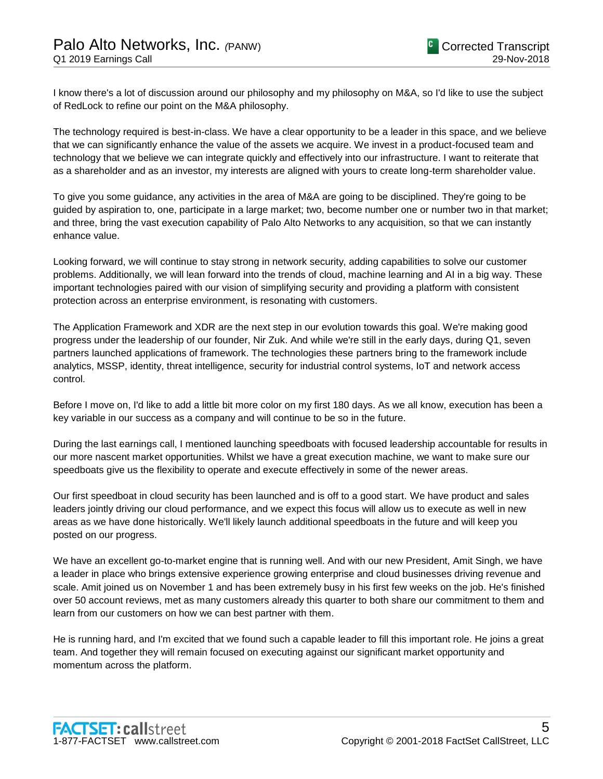I know there's a lot of discussion around our philosophy and my philosophy on M&A, so I'd like to use the subject of RedLock to refine our point on the M&A philosophy.

The technology required is best-in-class. We have a clear opportunity to be a leader in this space, and we believe that we can significantly enhance the value of the assets we acquire. We invest in a product-focused team and technology that we believe we can integrate quickly and effectively into our infrastructure. I want to reiterate that as a shareholder and as an investor, my interests are aligned with yours to create long-term shareholder value.

To give you some guidance, any activities in the area of M&A are going to be disciplined. They're going to be guided by aspiration to, one, participate in a large market; two, become number one or number two in that market; and three, bring the vast execution capability of Palo Alto Networks to any acquisition, so that we can instantly enhance value.

Looking forward, we will continue to stay strong in network security, adding capabilities to solve our customer problems. Additionally, we will lean forward into the trends of cloud, machine learning and AI in a big way. These important technologies paired with our vision of simplifying security and providing a platform with consistent protection across an enterprise environment, is resonating with customers.

The Application Framework and XDR are the next step in our evolution towards this goal. We're making good progress under the leadership of our founder, Nir Zuk. And while we're still in the early days, during Q1, seven partners launched applications of framework. The technologies these partners bring to the framework include analytics, MSSP, identity, threat intelligence, security for industrial control systems, IoT and network access control.

Before I move on, I'd like to add a little bit more color on my first 180 days. As we all know, execution has been a key variable in our success as a company and will continue to be so in the future.

During the last earnings call, I mentioned launching speedboats with focused leadership accountable for results in our more nascent market opportunities. Whilst we have a great execution machine, we want to make sure our speedboats give us the flexibility to operate and execute effectively in some of the newer areas.

Our first speedboat in cloud security has been launched and is off to a good start. We have product and sales leaders jointly driving our cloud performance, and we expect this focus will allow us to execute as well in new areas as we have done historically. We'll likely launch additional speedboats in the future and will keep you posted on our progress.

We have an excellent go-to-market engine that is running well. And with our new President, Amit Singh, we have a leader in place who brings extensive experience growing enterprise and cloud businesses driving revenue and scale. Amit joined us on November 1 and has been extremely busy in his first few weeks on the job. He's finished over 50 account reviews, met as many customers already this quarter to both share our commitment to them and learn from our customers on how we can best partner with them.

He is running hard, and I'm excited that we found such a capable leader to fill this important role. He joins a great team. And together they will remain focused on executing against our significant market opportunity and momentum across the platform.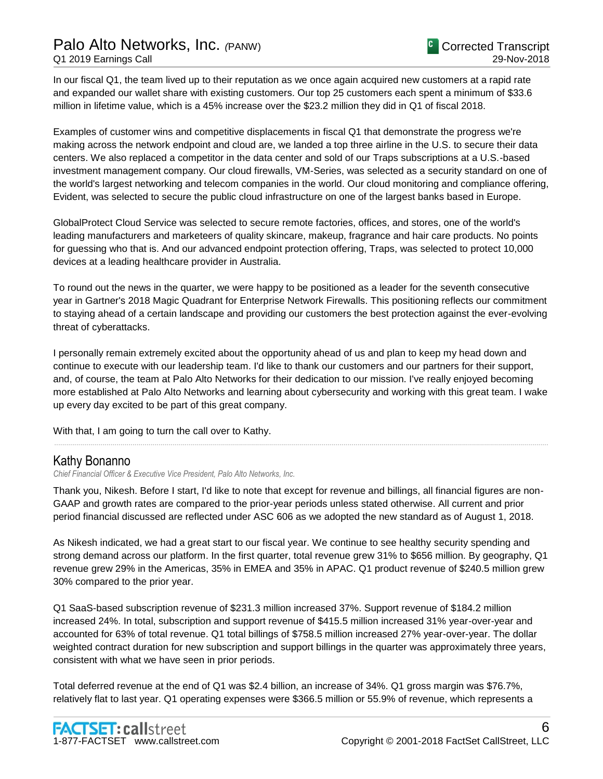# Palo Alto Networks, Inc. *(*PANW) Q1 2019 Earnings Call

In our fiscal Q1, the team lived up to their reputation as we once again acquired new customers at a rapid rate and expanded our wallet share with existing customers. Our top 25 customers each spent a minimum of \$33.6 million in lifetime value, which is a 45% increase over the \$23.2 million they did in Q1 of fiscal 2018.

Examples of customer wins and competitive displacements in fiscal Q1 that demonstrate the progress we're making across the network endpoint and cloud are, we landed a top three airline in the U.S. to secure their data centers. We also replaced a competitor in the data center and sold of our Traps subscriptions at a U.S.-based investment management company. Our cloud firewalls, VM-Series, was selected as a security standard on one of the world's largest networking and telecom companies in the world. Our cloud monitoring and compliance offering, Evident, was selected to secure the public cloud infrastructure on one of the largest banks based in Europe.

GlobalProtect Cloud Service was selected to secure remote factories, offices, and stores, one of the world's leading manufacturers and marketeers of quality skincare, makeup, fragrance and hair care products. No points for guessing who that is. And our advanced endpoint protection offering, Traps, was selected to protect 10,000 devices at a leading healthcare provider in Australia.

To round out the news in the quarter, we were happy to be positioned as a leader for the seventh consecutive year in Gartner's 2018 Magic Quadrant for Enterprise Network Firewalls. This positioning reflects our commitment to staying ahead of a certain landscape and providing our customers the best protection against the ever-evolving threat of cyberattacks.

I personally remain extremely excited about the opportunity ahead of us and plan to keep my head down and continue to execute with our leadership team. I'd like to thank our customers and our partners for their support, and, of course, the team at Palo Alto Networks for their dedication to our mission. I've really enjoyed becoming more established at Palo Alto Networks and learning about cybersecurity and working with this great team. I wake up every day excited to be part of this great company.

......................................................................................................................................................................................................................................................

With that, I am going to turn the call over to Kathy.

# Kathy Bonanno

*Chief Financial Officer & Executive Vice President, Palo Alto Networks, Inc.*

Thank you, Nikesh. Before I start, I'd like to note that except for revenue and billings, all financial figures are non-GAAP and growth rates are compared to the prior-year periods unless stated otherwise. All current and prior period financial discussed are reflected under ASC 606 as we adopted the new standard as of August 1, 2018.

As Nikesh indicated, we had a great start to our fiscal year. We continue to see healthy security spending and strong demand across our platform. In the first quarter, total revenue grew 31% to \$656 million. By geography, Q1 revenue grew 29% in the Americas, 35% in EMEA and 35% in APAC. Q1 product revenue of \$240.5 million grew 30% compared to the prior year.

Q1 SaaS-based subscription revenue of \$231.3 million increased 37%. Support revenue of \$184.2 million increased 24%. In total, subscription and support revenue of \$415.5 million increased 31% year-over-year and accounted for 63% of total revenue. Q1 total billings of \$758.5 million increased 27% year-over-year. The dollar weighted contract duration for new subscription and support billings in the quarter was approximately three years, consistent with what we have seen in prior periods.

Total deferred revenue at the end of Q1 was \$2.4 billion, an increase of 34%. Q1 gross margin was \$76.7%, relatively flat to last year. Q1 operating expenses were \$366.5 million or 55.9% of revenue, which represents a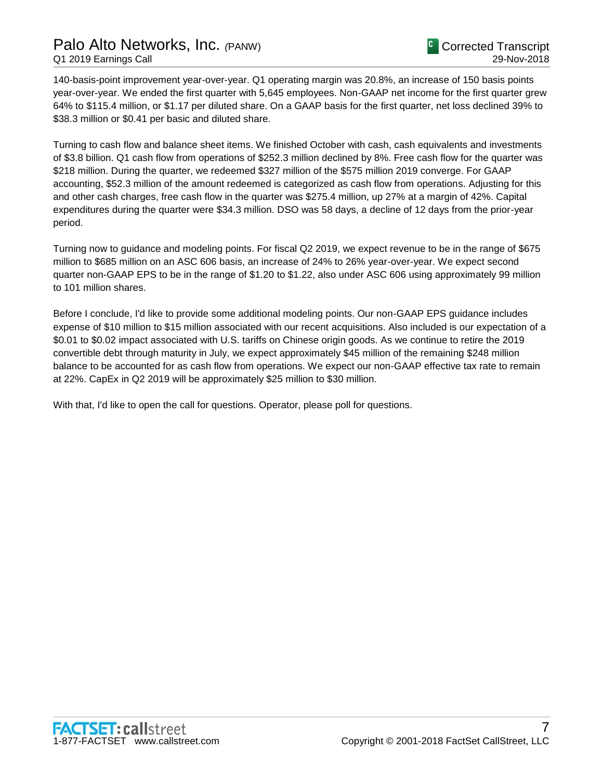# Palo Alto Networks, Inc. *(*PANW) Q1 2019 Earnings Call

140-basis-point improvement year-over-year. Q1 operating margin was 20.8%, an increase of 150 basis points year-over-year. We ended the first quarter with 5,645 employees. Non-GAAP net income for the first quarter grew 64% to \$115.4 million, or \$1.17 per diluted share. On a GAAP basis for the first quarter, net loss declined 39% to \$38.3 million or \$0.41 per basic and diluted share.

Turning to cash flow and balance sheet items. We finished October with cash, cash equivalents and investments of \$3.8 billion. Q1 cash flow from operations of \$252.3 million declined by 8%. Free cash flow for the quarter was \$218 million. During the quarter, we redeemed \$327 million of the \$575 million 2019 converge. For GAAP accounting, \$52.3 million of the amount redeemed is categorized as cash flow from operations. Adjusting for this and other cash charges, free cash flow in the quarter was \$275.4 million, up 27% at a margin of 42%. Capital expenditures during the quarter were \$34.3 million. DSO was 58 days, a decline of 12 days from the prior-year period.

Turning now to guidance and modeling points. For fiscal Q2 2019, we expect revenue to be in the range of \$675 million to \$685 million on an ASC 606 basis, an increase of 24% to 26% year-over-year. We expect second quarter non-GAAP EPS to be in the range of \$1.20 to \$1.22, also under ASC 606 using approximately 99 million to 101 million shares.

Before I conclude, I'd like to provide some additional modeling points. Our non-GAAP EPS guidance includes expense of \$10 million to \$15 million associated with our recent acquisitions. Also included is our expectation of a \$0.01 to \$0.02 impact associated with U.S. tariffs on Chinese origin goods. As we continue to retire the 2019 convertible debt through maturity in July, we expect approximately \$45 million of the remaining \$248 million balance to be accounted for as cash flow from operations. We expect our non-GAAP effective tax rate to remain at 22%. CapEx in Q2 2019 will be approximately \$25 million to \$30 million.

With that, I'd like to open the call for questions. Operator, please poll for questions.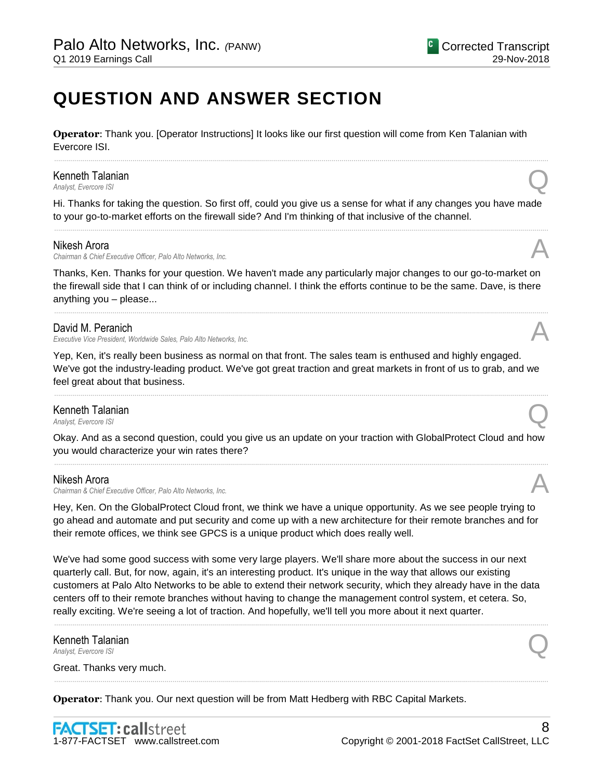# **QUESTION AND ANSWER SECTION**

**Operator**: Thank you. [Operator Instructions] It looks like our first question will come from Ken Talanian with Evercore ISI.

# Kenneth Talanian *Analyst, Evercore ISI*<br>Analyst, Evercore ISI

Hi. Thanks for taking the question. So first off, could you give us a sense for what if any changes you have made to your go-to-market efforts on the firewall side? And I'm thinking of that inclusive of the channel. ......................................................................................................................................................................................................................................................

......................................................................................................................................................................................................................................................

#### Nikesh Arora

*Chairman & Chief Executive Officer, Palo Alto Networks, Inc.* A

Thanks, Ken. Thanks for your question. We haven't made any particularly major changes to our go-to-market on the firewall side that I can think of or including channel. I think the efforts continue to be the same. Dave, is there anything you – please...

......................................................................................................................................................................................................................................................

#### David M. Peranich

*Executive Vice President, Worldwide Sales, Palo Alto Networks, Inc.* 

Yep, Ken, it's really been business as normal on that front. The sales team is enthused and highly engaged. We've got the industry-leading product. We've got great traction and great markets in front of us to grab, and we feel great about that business.

......................................................................................................................................................................................................................................................

# **Kenneth Talanian**<br>Analyst Evercore ISI *Analyst, Evercore ISI*<br>Analyst, Evercore ISI

Okay. And as a second question, could you give us an update on your traction with GlobalProtect Cloud and how you would characterize your win rates there? ......................................................................................................................................................................................................................................................

#### Nikesh Arora

*Chairman & Chief Executive Officer, Palo Alto Networks, Inc.* A

Hey, Ken. On the GlobalProtect Cloud front, we think we have a unique opportunity. As we see people trying to go ahead and automate and put security and come up with a new architecture for their remote branches and for their remote offices, we think see GPCS is a unique product which does really well.

We've had some good success with some very large players. We'll share more about the success in our next quarterly call. But, for now, again, it's an interesting product. It's unique in the way that allows our existing customers at Palo Alto Networks to be able to extend their network security, which they already have in the data centers off to their remote branches without having to change the management control system, et cetera. So, really exciting. We're seeing a lot of traction. And hopefully, we'll tell you more about it next quarter.

......................................................................................................................................................................................................................................................

......................................................................................................................................................................................................................................................

Kenneth Talanian *Analyst, Evercore ISI* Q<br>Analyst, Evercore ISI

Great. Thanks very much.

**Operator**: Thank you. Our next question will be from Matt Hedberg with RBC Capital Markets.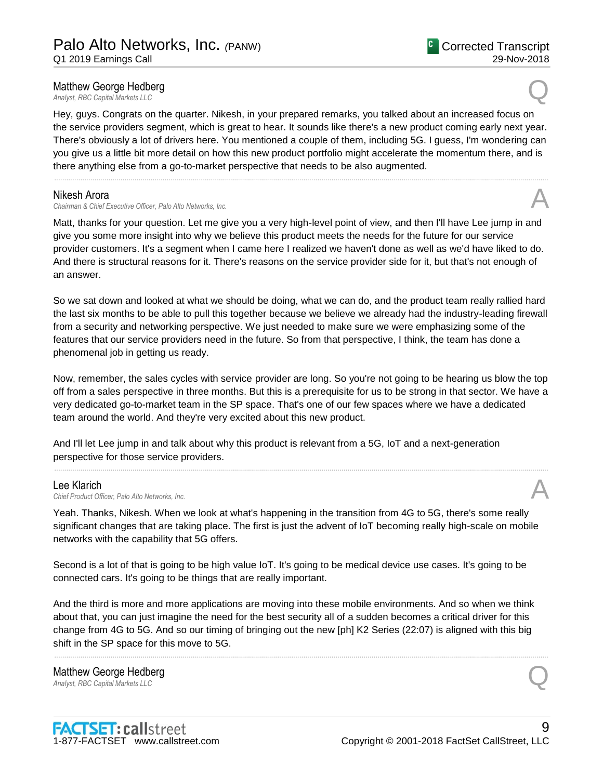# **Matthew George Hedberg**<br>Analyst, RBC Capital Markets LLC **Matthew George Hedberg**<br> *Analyst, RBC Capital Markets LLC*

Hey, guys. Congrats on the quarter. Nikesh, in your prepared remarks, you talked about an increased focus on the service providers segment, which is great to hear. It sounds like there's a new product coming early next year. There's obviously a lot of drivers here. You mentioned a couple of them, including 5G. I guess, I'm wondering can you give us a little bit more detail on how this new product portfolio might accelerate the momentum there, and is there anything else from a go-to-market perspective that needs to be also augmented.

......................................................................................................................................................................................................................................................

#### Nikesh Arora

*Chairman & Chief Executive Officer, Palo Alto Networks, Inc.* A

Matt, thanks for your question. Let me give you a very high-level point of view, and then I'll have Lee jump in and give you some more insight into why we believe this product meets the needs for the future for our service provider customers. It's a segment when I came here I realized we haven't done as well as we'd have liked to do. And there is structural reasons for it. There's reasons on the service provider side for it, but that's not enough of an answer.

So we sat down and looked at what we should be doing, what we can do, and the product team really rallied hard the last six months to be able to pull this together because we believe we already had the industry-leading firewall from a security and networking perspective. We just needed to make sure we were emphasizing some of the features that our service providers need in the future. So from that perspective, I think, the team has done a phenomenal job in getting us ready.

Now, remember, the sales cycles with service provider are long. So you're not going to be hearing us blow the top off from a sales perspective in three months. But this is a prerequisite for us to be strong in that sector. We have a very dedicated go-to-market team in the SP space. That's one of our few spaces where we have a dedicated team around the world. And they're very excited about this new product.

......................................................................................................................................................................................................................................................

And I'll let Lee jump in and talk about why this product is relevant from a 5G, IoT and a next-generation perspective for those service providers.

Lee Klarich<br>Chief Product Officer. Palo Alto Networks. Inc. Lee Klarich<br>Chief Product Officer, Palo Alto Networks, Inc.

Yeah. Thanks, Nikesh. When we look at what's happening in the transition from 4G to 5G, there's some really significant changes that are taking place. The first is just the advent of IoT becoming really high-scale on mobile networks with the capability that 5G offers.

Second is a lot of that is going to be high value IoT. It's going to be medical device use cases. It's going to be connected cars. It's going to be things that are really important.

And the third is more and more applications are moving into these mobile environments. And so when we think about that, you can just imagine the need for the best security all of a sudden becomes a critical driver for this change from 4G to 5G. And so our timing of bringing out the new [ph] K2 Series (22:07) is aligned with this big shift in the SP space for this move to 5G.

......................................................................................................................................................................................................................................................

**Matthew George Hedberg**<br>Analyst, RBC Capital Markets LLC **Matthew George Hedberg**<br> *Analyst, RBC Capital Markets LLC* 



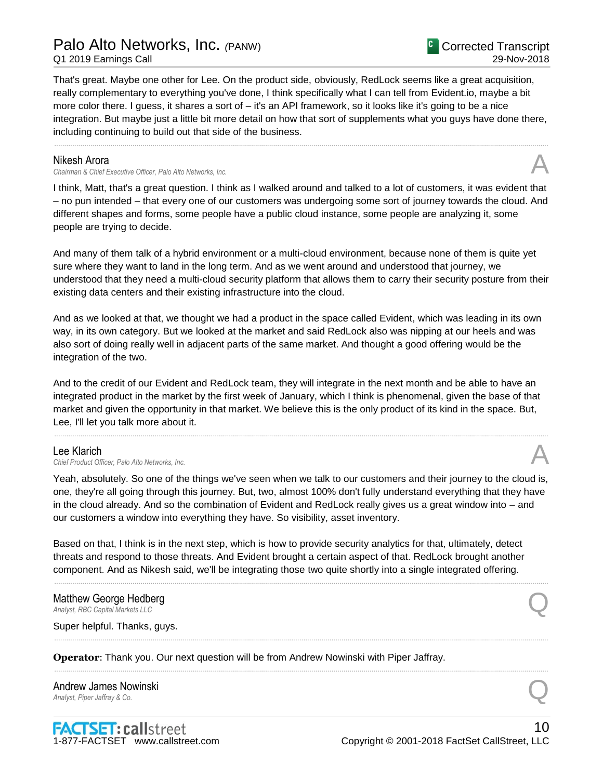# Palo Alto Networks, Inc. *(*PANW)

Q1 2019 Earnings Call

That's great. Maybe one other for Lee. On the product side, obviously, RedLock seems like a great acquisition, really complementary to everything you've done, I think specifically what I can tell from Evident.io, maybe a bit more color there. I guess, it shares a sort of – it's an API framework, so it looks like it's going to be a nice integration. But maybe just a little bit more detail on how that sort of supplements what you guys have done there, including continuing to build out that side of the business.

......................................................................................................................................................................................................................................................

### Nikesh Arora

*Chairman & Chief Executive Officer, Palo Alto Networks, Inc.* A

I think, Matt, that's a great question. I think as I walked around and talked to a lot of customers, it was evident that – no pun intended – that every one of our customers was undergoing some sort of journey towards the cloud. And different shapes and forms, some people have a public cloud instance, some people are analyzing it, some people are trying to decide.

And many of them talk of a hybrid environment or a multi-cloud environment, because none of them is quite yet sure where they want to land in the long term. And as we went around and understood that journey, we understood that they need a multi-cloud security platform that allows them to carry their security posture from their existing data centers and their existing infrastructure into the cloud.

And as we looked at that, we thought we had a product in the space called Evident, which was leading in its own way, in its own category. But we looked at the market and said RedLock also was nipping at our heels and was also sort of doing really well in adjacent parts of the same market. And thought a good offering would be the integration of the two.

And to the credit of our Evident and RedLock team, they will integrate in the next month and be able to have an integrated product in the market by the first week of January, which I think is phenomenal, given the base of that market and given the opportunity in that market. We believe this is the only product of its kind in the space. But, Lee, I'll let you talk more about it.

......................................................................................................................................................................................................................................................

# Lee Klarich

Lee Klarich<br>Chief Product Officer, Palo Alto Networks, Inc.

Yeah, absolutely. So one of the things we've seen when we talk to our customers and their journey to the cloud is, one, they're all going through this journey. But, two, almost 100% don't fully understand everything that they have in the cloud already. And so the combination of Evident and RedLock really gives us a great window into – and our customers a window into everything they have. So visibility, asset inventory.

......................................................................................................................................................................................................................................................

......................................................................................................................................................................................................................................................

......................................................................................................................................................................................................................................................

Based on that, I think is in the next step, which is how to provide security analytics for that, ultimately, detect threats and respond to those threats. And Evident brought a certain aspect of that. RedLock brought another component. And as Nikesh said, we'll be integrating those two quite shortly into a single integrated offering.

# **Matthew George Hedberg**<br>Analyst, RBC Capital Markets LLC **Matthew George Hedberg**<br> *Analyst, RBC Capital Markets LLC*

Super helpful. Thanks, guys.

**Operator**: Thank you. Our next question will be from Andrew Nowinski with Piper Jaffray.

# Andrew James Nowinski **Andrew James Nowinski**<br>Analyst, Piper Jaffray & Co.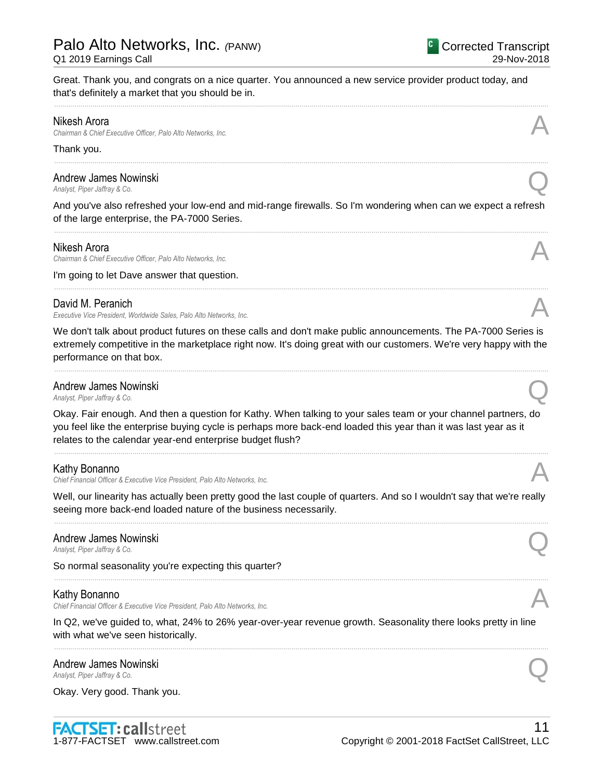Great. Thank you, and congrats on a nice quarter. You announced a new service provider product today, and that's definitely a market that you should be in.

......................................................................................................................................................................................................................................................

......................................................................................................................................................................................................................................................

### Nikesh Arora

*Chairman & Chief Executive Officer, Palo Alto Networks, Inc.* A

#### Thank you.

Andrew James Nowinski *Analyst, Piper Jaffray & Co.* Q

And you've also refreshed your low-end and mid-range firewalls. So I'm wondering when can we expect a refresh of the large enterprise, the PA-7000 Series. ......................................................................................................................................................................................................................................................

#### Nikesh Arora

*Chairman & Chief Executive Officer, Palo Alto Networks, Inc.* A

I'm going to let Dave answer that question.

# David M. Peranich

*Executive Vice President, Worldwide Sales, Palo Alto Networks, Inc.* A

We don't talk about product futures on these calls and don't make public announcements. The PA-7000 Series is extremely competitive in the marketplace right now. It's doing great with our customers. We're very happy with the performance on that box.

......................................................................................................................................................................................................................................................

......................................................................................................................................................................................................................................................

# **Andrew James Nowinski**<br>Analyst, Piper Jaffray & Co. *Analyst, Piper Jaffray & Co.* Q

Okay. Fair enough. And then a question for Kathy. When talking to your sales team or your channel partners, do you feel like the enterprise buying cycle is perhaps more back-end loaded this year than it was last year as it relates to the calendar year-end enterprise budget flush?

......................................................................................................................................................................................................................................................

# Kathy Bonanno

*Chief Financial Officer & Executive Vice President, Palo Alto Networks, Inc.* A

Well, our linearity has actually been pretty good the last couple of quarters. And so I wouldn't say that we're really seeing more back-end loaded nature of the business necessarily. ......................................................................................................................................................................................................................................................

# Andrew James Nowinski *Analyst, Piper Jaffray & Co.* Q

So normal seasonality you're expecting this quarter?

# Kathy Bonanno

*Chief Financial Officer & Executive Vice President, Palo Alto Networks, Inc.* A

In Q2, we've guided to, what, 24% to 26% year-over-year revenue growth. Seasonality there looks pretty in line with what we've seen historically.

......................................................................................................................................................................................................................................................

......................................................................................................................................................................................................................................................

# **Andrew James Nowinski**<br>Analyst. Piper Jaffray & Co. *Analyst, Piper Jaffray & Co.* Q

Okay. Very good. Thank you.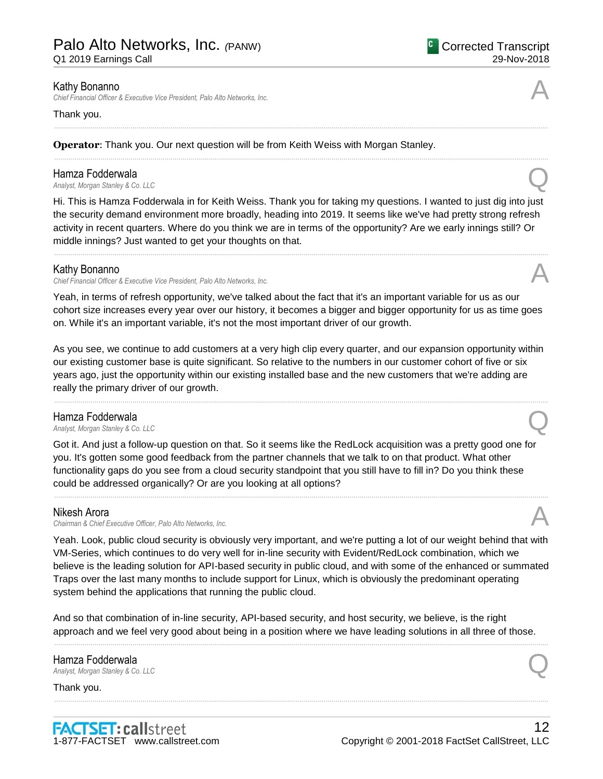Q1 2019 Earnings Call

# Kathy Bonanno

*Chief Financial Officer & Executive Vice President, Palo Alto Networks, Inc.* A

#### Thank you.

**Operator**: Thank you. Our next question will be from Keith Weiss with Morgan Stanley.

**Hamza Fodderwala**<br>Analyst, Morgan Stanley & Co. LLC *Analyst, Morgan Stanley & Co. LLC* Q

Hi. This is Hamza Fodderwala in for Keith Weiss. Thank you for taking my questions. I wanted to just dig into just the security demand environment more broadly, heading into 2019. It seems like we've had pretty strong refresh activity in recent quarters. Where do you think we are in terms of the opportunity? Are we early innings still? Or middle innings? Just wanted to get your thoughts on that.

......................................................................................................................................................................................................................................................

......................................................................................................................................................................................................................................................

......................................................................................................................................................................................................................................................

### Kathy Bonanno

*Chief Financial Officer & Executive Vice President, Palo Alto Networks, Inc.* A

Yeah, in terms of refresh opportunity, we've talked about the fact that it's an important variable for us as our cohort size increases every year over our history, it becomes a bigger and bigger opportunity for us as time goes on. While it's an important variable, it's not the most important driver of our growth.

As you see, we continue to add customers at a very high clip every quarter, and our expansion opportunity within our existing customer base is quite significant. So relative to the numbers in our customer cohort of five or six years ago, just the opportunity within our existing installed base and the new customers that we're adding are really the primary driver of our growth.

......................................................................................................................................................................................................................................................

#### Hamza Fodderwala

*Analyst, Morgan Stanley & Co. LLC*<br>*Analyst, Morgan Stanley & Co. LLC* 

Got it. And just a follow-up question on that. So it seems like the RedLock acquisition was a pretty good one for you. It's gotten some good feedback from the partner channels that we talk to on that product. What other functionality gaps do you see from a cloud security standpoint that you still have to fill in? Do you think these could be addressed organically? Or are you looking at all options?

......................................................................................................................................................................................................................................................

# Nikesh Arora

*Chairman & Chief Executive Officer, Palo Alto Networks, Inc.* A

Yeah. Look, public cloud security is obviously very important, and we're putting a lot of our weight behind that with VM-Series, which continues to do very well for in-line security with Evident/RedLock combination, which we believe is the leading solution for API-based security in public cloud, and with some of the enhanced or summated Traps over the last many months to include support for Linux, which is obviously the predominant operating system behind the applications that running the public cloud.

And so that combination of in-line security, API-based security, and host security, we believe, is the right approach and we feel very good about being in a position where we have leading solutions in all three of those.

......................................................................................................................................................................................................................................................

......................................................................................................................................................................................................................................................

# Hamza Fodderwala *Analyst, Morgan Stanley & Co. LLC* Q

Thank you.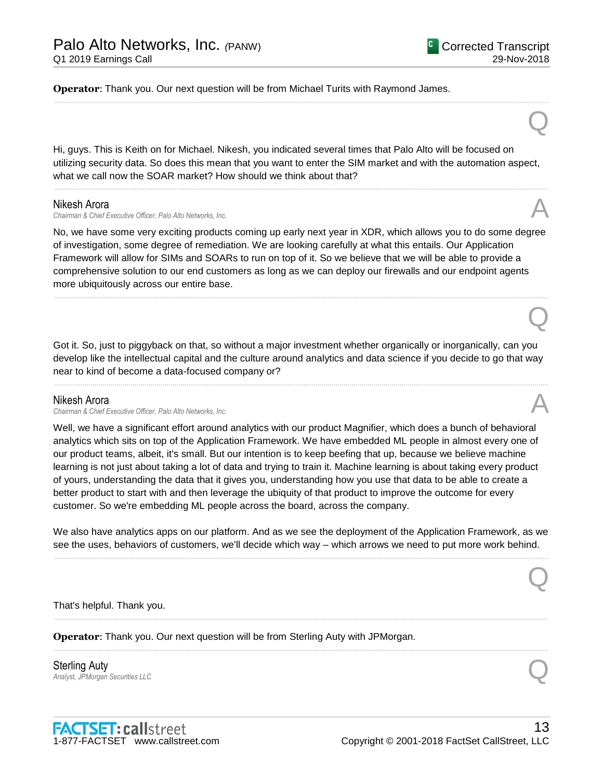Q

Q

Q

**Operator**: Thank you. Our next question will be from Michael Turits with Raymond James.

Hi, guys. This is Keith on for Michael. Nikesh, you indicated several times that Palo Alto will be focused on utilizing security data. So does this mean that you want to enter the SIM market and with the automation aspect, what we call now the SOAR market? How should we think about that?

......................................................................................................................................................................................................................................................

......................................................................................................................................................................................................................................................

### Nikesh Arora

*Chairman & Chief Executive Officer, Palo Alto Networks, Inc.* A

No, we have some very exciting products coming up early next year in XDR, which allows you to do some degree of investigation, some degree of remediation. We are looking carefully at what this entails. Our Application Framework will allow for SIMs and SOARs to run on top of it. So we believe that we will be able to provide a comprehensive solution to our end customers as long as we can deploy our firewalls and our endpoint agents more ubiquitously across our entire base.

......................................................................................................................................................................................................................................................

Got it. So, just to piggyback on that, so without a major investment whether organically or inorganically, can you develop like the intellectual capital and the culture around analytics and data science if you decide to go that way near to kind of become a data-focused company or?

......................................................................................................................................................................................................................................................

# Nikesh Arora

*Chairman & Chief Executive Officer, Palo Alto Networks, Inc.* A

Well, we have a significant effort around analytics with our product Magnifier, which does a bunch of behavioral analytics which sits on top of the Application Framework. We have embedded ML people in almost every one of our product teams, albeit, it's small. But our intention is to keep beefing that up, because we believe machine learning is not just about taking a lot of data and trying to train it. Machine learning is about taking every product of yours, understanding the data that it gives you, understanding how you use that data to be able to create a better product to start with and then leverage the ubiquity of that product to improve the outcome for every customer. So we're embedding ML people across the board, across the company.

We also have analytics apps on our platform. And as we see the deployment of the Application Framework, as we see the uses, behaviors of customers, we'll decide which way – which arrows we need to put more work behind. ......................................................................................................................................................................................................................................................

......................................................................................................................................................................................................................................................

......................................................................................................................................................................................................................................................

That's helpful. Thank you.

**Operator**: Thank you. Our next question will be from Sterling Auty with JPMorgan.

Sterling Auty **Sterling Auty**<br>Analyst, JPMorgan Securities LLC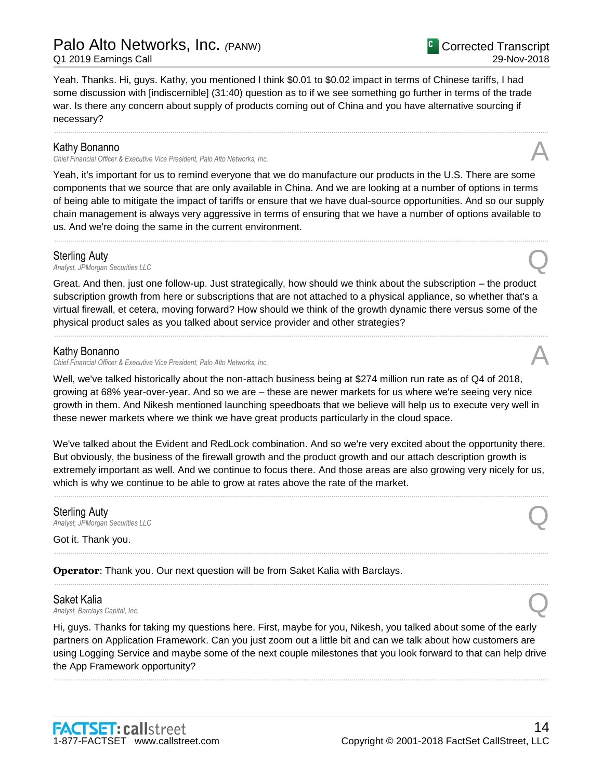# Palo Alto Networks, Inc. *(*PANW)

Q1 2019 Earnings Call

Yeah. Thanks. Hi, guys. Kathy, you mentioned I think \$0.01 to \$0.02 impact in terms of Chinese tariffs, I had some discussion with [indiscernible] (31:40) question as to if we see something go further in terms of the trade war. Is there any concern about supply of products coming out of China and you have alternative sourcing if necessary?

......................................................................................................................................................................................................................................................

#### Kathy Bonanno

*Chief Financial Officer & Executive Vice President, Palo Alto Networks, Inc.* A

Yeah, it's important for us to remind everyone that we do manufacture our products in the U.S. There are some components that we source that are only available in China. And we are looking at a number of options in terms of being able to mitigate the impact of tariffs or ensure that we have dual-source opportunities. And so our supply chain management is always very aggressive in terms of ensuring that we have a number of options available to us. And we're doing the same in the current environment.

......................................................................................................................................................................................................................................................

# Sterling Auty

**Sterling Auty**<br>Analyst, JPMorgan Securities LLC

Great. And then, just one follow-up. Just strategically, how should we think about the subscription – the product subscription growth from here or subscriptions that are not attached to a physical appliance, so whether that's a virtual firewall, et cetera, moving forward? How should we think of the growth dynamic there versus some of the physical product sales as you talked about service provider and other strategies?

......................................................................................................................................................................................................................................................

# Kathy Bonanno

*Chief Financial Officer & Executive Vice President, Palo Alto Networks, Inc.* A

Well, we've talked historically about the non-attach business being at \$274 million run rate as of Q4 of 2018, growing at 68% year-over-year. And so we are – these are newer markets for us where we're seeing very nice growth in them. And Nikesh mentioned launching speedboats that we believe will help us to execute very well in these newer markets where we think we have great products particularly in the cloud space.

We've talked about the Evident and RedLock combination. And so we're very excited about the opportunity there. But obviously, the business of the firewall growth and the product growth and our attach description growth is extremely important as well. And we continue to focus there. And those areas are also growing very nicely for us, which is why we continue to be able to grow at rates above the rate of the market.

......................................................................................................................................................................................................................................................

......................................................................................................................................................................................................................................................

......................................................................................................................................................................................................................................................

# Sterling Auty **Sterling Auty**<br>Analyst, JPMorgan Securities LLC

Got it. Thank you.

**Operator**: Thank you. Our next question will be from Saket Kalia with Barclays.

**Saket Kalia**<br>Analyst, Barclays Capital, Inc. *Analyst, Barclays Capital, Inc.* Q

Hi, guys. Thanks for taking my questions here. First, maybe for you, Nikesh, you talked about some of the early partners on Application Framework. Can you just zoom out a little bit and can we talk about how customers are using Logging Service and maybe some of the next couple milestones that you look forward to that can help drive the App Framework opportunity?

......................................................................................................................................................................................................................................................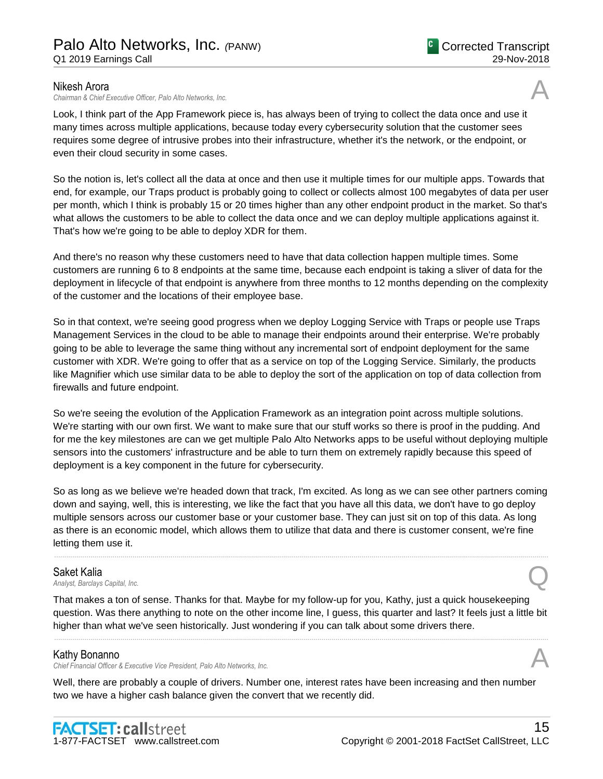### Nikesh Arora

*Chairman & Chief Executive Officer, Palo Alto Networks, Inc.* A

Look, I think part of the App Framework piece is, has always been of trying to collect the data once and use it many times across multiple applications, because today every cybersecurity solution that the customer sees requires some degree of intrusive probes into their infrastructure, whether it's the network, or the endpoint, or even their cloud security in some cases.

So the notion is, let's collect all the data at once and then use it multiple times for our multiple apps. Towards that end, for example, our Traps product is probably going to collect or collects almost 100 megabytes of data per user per month, which I think is probably 15 or 20 times higher than any other endpoint product in the market. So that's what allows the customers to be able to collect the data once and we can deploy multiple applications against it. That's how we're going to be able to deploy XDR for them.

And there's no reason why these customers need to have that data collection happen multiple times. Some customers are running 6 to 8 endpoints at the same time, because each endpoint is taking a sliver of data for the deployment in lifecycle of that endpoint is anywhere from three months to 12 months depending on the complexity of the customer and the locations of their employee base.

So in that context, we're seeing good progress when we deploy Logging Service with Traps or people use Traps Management Services in the cloud to be able to manage their endpoints around their enterprise. We're probably going to be able to leverage the same thing without any incremental sort of endpoint deployment for the same customer with XDR. We're going to offer that as a service on top of the Logging Service. Similarly, the products like Magnifier which use similar data to be able to deploy the sort of the application on top of data collection from firewalls and future endpoint.

So we're seeing the evolution of the Application Framework as an integration point across multiple solutions. We're starting with our own first. We want to make sure that our stuff works so there is proof in the pudding. And for me the key milestones are can we get multiple Palo Alto Networks apps to be useful without deploying multiple sensors into the customers' infrastructure and be able to turn them on extremely rapidly because this speed of deployment is a key component in the future for cybersecurity.

So as long as we believe we're headed down that track, I'm excited. As long as we can see other partners coming down and saying, well, this is interesting, we like the fact that you have all this data, we don't have to go deploy multiple sensors across our customer base or your customer base. They can just sit on top of this data. As long as there is an economic model, which allows them to utilize that data and there is customer consent, we're fine letting them use it.

......................................................................................................................................................................................................................................................

# Saket Kalia

*Analyst, Barclays Capital, Inc.* Q

That makes a ton of sense. Thanks for that. Maybe for my follow-up for you, Kathy, just a quick housekeeping question. Was there anything to note on the other income line, I guess, this quarter and last? It feels just a little bit higher than what we've seen historically. Just wondering if you can talk about some drivers there.

......................................................................................................................................................................................................................................................

# Kathy Bonanno

*Chief Financial Officer & Executive Vice President, Palo Alto Networks, Inc.* A

Well, there are probably a couple of drivers. Number one, interest rates have been increasing and then number two we have a higher cash balance given the convert that we recently did.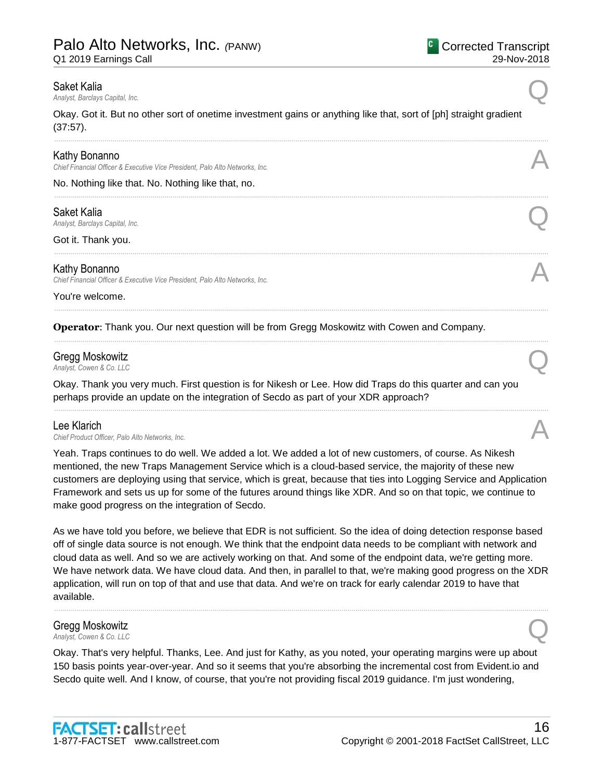Q1 2019 Earnings Call

**Saket Kalia**<br>Analyst, Barclays Capital, Inc. *Analyst, Barclays Capital, Inc.* Q

Okay. Got it. But no other sort of onetime investment gains or anything like that, sort of [ph] straight gradient (37:57).

......................................................................................................................................................................................................................................................

......................................................................................................................................................................................................................................................

......................................................................................................................................................................................................................................................

......................................................................................................................................................................................................................................................

......................................................................................................................................................................................................................................................

......................................................................................................................................................................................................................................................

### Kathy Bonanno

*Chief Financial Officer & Executive Vice President, Palo Alto Networks, Inc.* A

No. Nothing like that. No. Nothing like that, no.

#### Saket Kalia

*Analyst, Barclays Capital, Inc.* Q

Got it. Thank you.

### Kathy Bonanno

*Chief Financial Officer & Executive Vice President, Palo Alto Networks, Inc.* A

You're welcome.

**Operator**: Thank you. Our next question will be from Gregg Moskowitz with Cowen and Company.

# Gregg Moskowitz *Analyst, Cowen & Co. LLC*<br>Analyst, Cowen & Co. LLC

Okay. Thank you very much. First question is for Nikesh or Lee. How did Traps do this quarter and can you perhaps provide an update on the integration of Secdo as part of your XDR approach?

Lee Klarich<br>Chief Product Officer. Palo Alto Networks. Inc. Lee Klarich<br>Chief Product Officer, Palo Alto Networks, Inc.

Yeah. Traps continues to do well. We added a lot. We added a lot of new customers, of course. As Nikesh mentioned, the new Traps Management Service which is a cloud-based service, the majority of these new customers are deploying using that service, which is great, because that ties into Logging Service and Application Framework and sets us up for some of the futures around things like XDR. And so on that topic, we continue to make good progress on the integration of Secdo.

As we have told you before, we believe that EDR is not sufficient. So the idea of doing detection response based off of single data source is not enough. We think that the endpoint data needs to be compliant with network and cloud data as well. And so we are actively working on that. And some of the endpoint data, we're getting more. We have network data. We have cloud data. And then, in parallel to that, we're making good progress on the XDR application, will run on top of that and use that data. And we're on track for early calendar 2019 to have that available.

......................................................................................................................................................................................................................................................

# Gregg Moskowitz **Analyst, Cowen & Co. LLC**<br>Analyst, Cowen & Co. LLC

Okay. That's very helpful. Thanks, Lee. And just for Kathy, as you noted, your operating margins were up about 150 basis points year-over-year. And so it seems that you're absorbing the incremental cost from Evident.io and Secdo quite well. And I know, of course, that you're not providing fiscal 2019 guidance. I'm just wondering,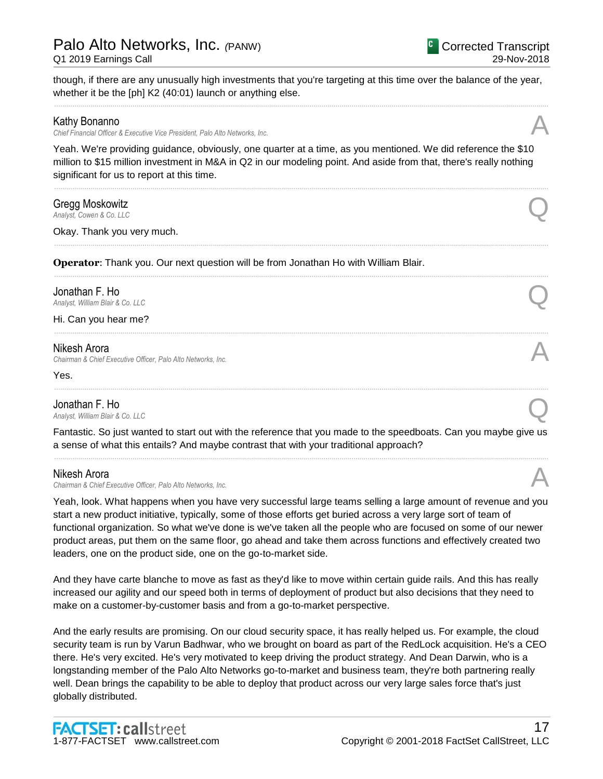though, if there are any unusually high investments that you're targeting at this time over the balance of the year, whether it be the [ph] K2 (40:01) launch or anything else. ......................................................................................................................................................................................................................................................

# Kathy Bonanno

*Chief Financial Officer & Executive Vice President, Palo Alto Networks, Inc.* A

Yeah. We're providing guidance, obviously, one quarter at a time, as you mentioned. We did reference the \$10 million to \$15 million investment in M&A in Q2 in our modeling point. And aside from that, there's really nothing significant for us to report at this time.

......................................................................................................................................................................................................................................................

......................................................................................................................................................................................................................................................

......................................................................................................................................................................................................................................................

......................................................................................................................................................................................................................................................

# Gregg Moskowitz *Analyst, Cowen & Co. LLC*<br>Analyst, Cowen & Co. LLC

Okay. Thank you very much.

**Operator**: Thank you. Our next question will be from Jonathan Ho with William Blair.

# Jonathan F. Ho

**Jonathan F. Ho**<br>Analyst, William Blair & Co. LLC

Hi. Can you hear me?

# Nikesh Arora

*Chairman & Chief Executive Officer, Palo Alto Networks, Inc.* A

Yes.

**Jonathan F. Ho**<br>Analyst. William Blair & Co. LLC **Jonathan F. Ho**<br>Analyst, William Blair & Co. LLC

Fantastic. So just wanted to start out with the reference that you made to the speedboats. Can you maybe give us a sense of what this entails? And maybe contrast that with your traditional approach? ......................................................................................................................................................................................................................................................

......................................................................................................................................................................................................................................................

# Nikesh Arora

*Chairman & Chief Executive Officer, Palo Alto Networks, Inc.* A

Yeah, look. What happens when you have very successful large teams selling a large amount of revenue and you start a new product initiative, typically, some of those efforts get buried across a very large sort of team of functional organization. So what we've done is we've taken all the people who are focused on some of our newer product areas, put them on the same floor, go ahead and take them across functions and effectively created two leaders, one on the product side, one on the go-to-market side.

And they have carte blanche to move as fast as they'd like to move within certain guide rails. And this has really increased our agility and our speed both in terms of deployment of product but also decisions that they need to make on a customer-by-customer basis and from a go-to-market perspective.

And the early results are promising. On our cloud security space, it has really helped us. For example, the cloud security team is run by Varun Badhwar, who we brought on board as part of the RedLock acquisition. He's a CEO there. He's very excited. He's very motivated to keep driving the product strategy. And Dean Darwin, who is a longstanding member of the Palo Alto Networks go-to-market and business team, they're both partnering really well. Dean brings the capability to be able to deploy that product across our very large sales force that's just globally distributed.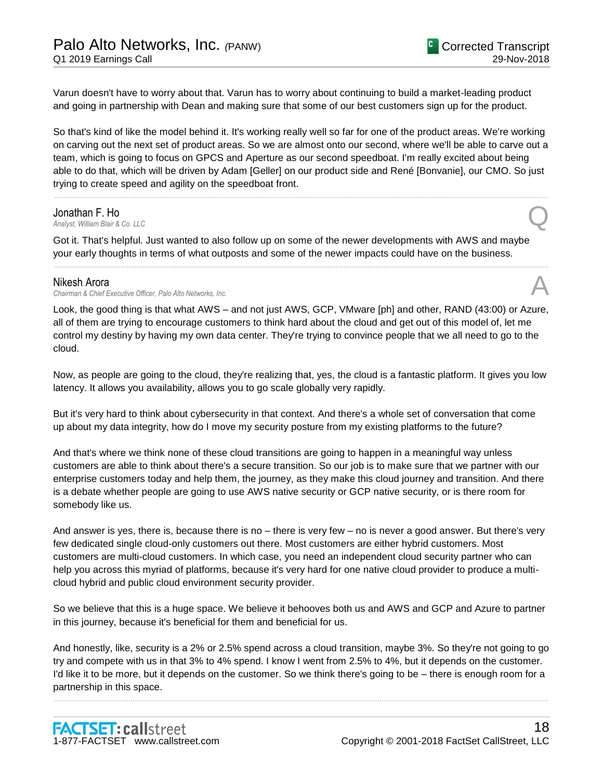Varun doesn't have to worry about that. Varun has to worry about continuing to build a market-leading product and going in partnership with Dean and making sure that some of our best customers sign up for the product.

So that's kind of like the model behind it. It's working really well so far for one of the product areas. We're working on carving out the next set of product areas. So we are almost onto our second, where we'll be able to carve out a team, which is going to focus on GPCS and Aperture as our second speedboat. I'm really excited about being able to do that, which will be driven by Adam [Geller] on our product side and René [Bonvanie], our CMO. So just trying to create speed and agility on the speedboat front.

......................................................................................................................................................................................................................................................

#### Jonathan F. Ho

**Jonathan F. Ho**<br>Analyst, William Blair & Co. LLC

Got it. That's helpful. Just wanted to also follow up on some of the newer developments with AWS and maybe your early thoughts in terms of what outposts and some of the newer impacts could have on the business.

......................................................................................................................................................................................................................................................

#### Nikesh Arora

*Chairman & Chief Executive Officer, Palo Alto Networks, Inc.* A

Look, the good thing is that what AWS – and not just AWS, GCP, VMware [ph] and other, RAND (43:00) or Azure, all of them are trying to encourage customers to think hard about the cloud and get out of this model of, let me control my destiny by having my own data center. They're trying to convince people that we all need to go to the cloud.

Now, as people are going to the cloud, they're realizing that, yes, the cloud is a fantastic platform. It gives you low latency. It allows you availability, allows you to go scale globally very rapidly.

But it's very hard to think about cybersecurity in that context. And there's a whole set of conversation that come up about my data integrity, how do I move my security posture from my existing platforms to the future?

And that's where we think none of these cloud transitions are going to happen in a meaningful way unless customers are able to think about there's a secure transition. So our job is to make sure that we partner with our enterprise customers today and help them, the journey, as they make this cloud journey and transition. And there is a debate whether people are going to use AWS native security or GCP native security, or is there room for somebody like us.

And answer is yes, there is, because there is no – there is very few – no is never a good answer. But there's very few dedicated single cloud-only customers out there. Most customers are either hybrid customers. Most customers are multi-cloud customers. In which case, you need an independent cloud security partner who can help you across this myriad of platforms, because it's very hard for one native cloud provider to produce a multicloud hybrid and public cloud environment security provider.

So we believe that this is a huge space. We believe it behooves both us and AWS and GCP and Azure to partner in this journey, because it's beneficial for them and beneficial for us.

And honestly, like, security is a 2% or 2.5% spend across a cloud transition, maybe 3%. So they're not going to go try and compete with us in that 3% to 4% spend. I know I went from 2.5% to 4%, but it depends on the customer. I'd like it to be more, but it depends on the customer. So we think there's going to be – there is enough room for a partnership in this space.

......................................................................................................................................................................................................................................................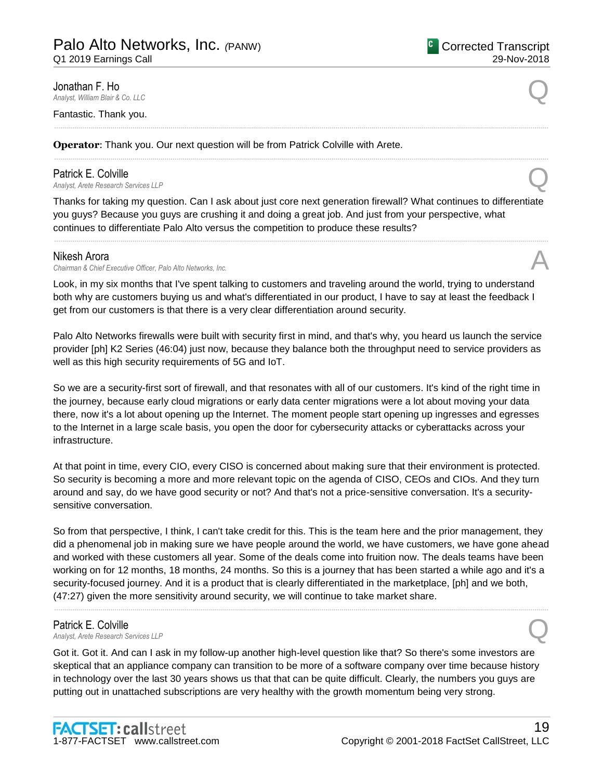**Jonathan F. Ho**<br>Analyst, William Blair & Co. LLC **Jonathan F. Ho**<br>Analyst, William Blair & Co. LLC

Fantastic. Thank you.

**Operator**: Thank you. Our next question will be from Patrick Colville with Arete.

# Patrick E. Colville<br>Analyst, Arete Research Services LLP **Patrick E. Colville**<br>Analyst, Arete Research Services LLP

Thanks for taking my question. Can I ask about just core next generation firewall? What continues to differentiate you guys? Because you guys are crushing it and doing a great job. And just from your perspective, what continues to differentiate Palo Alto versus the competition to produce these results?

......................................................................................................................................................................................................................................................

......................................................................................................................................................................................................................................................

......................................................................................................................................................................................................................................................

#### Nikesh Arora

*Chairman & Chief Executive Officer, Palo Alto Networks, Inc.* A

Look, in my six months that I've spent talking to customers and traveling around the world, trying to understand both why are customers buying us and what's differentiated in our product, I have to say at least the feedback I get from our customers is that there is a very clear differentiation around security.

Palo Alto Networks firewalls were built with security first in mind, and that's why, you heard us launch the service provider [ph] K2 Series (46:04) just now, because they balance both the throughput need to service providers as well as this high security requirements of 5G and IoT.

So we are a security-first sort of firewall, and that resonates with all of our customers. It's kind of the right time in the journey, because early cloud migrations or early data center migrations were a lot about moving your data there, now it's a lot about opening up the Internet. The moment people start opening up ingresses and egresses to the Internet in a large scale basis, you open the door for cybersecurity attacks or cyberattacks across your infrastructure.

At that point in time, every CIO, every CISO is concerned about making sure that their environment is protected. So security is becoming a more and more relevant topic on the agenda of CISO, CEOs and CIOs. And they turn around and say, do we have good security or not? And that's not a price-sensitive conversation. It's a securitysensitive conversation.

So from that perspective, I think, I can't take credit for this. This is the team here and the prior management, they did a phenomenal job in making sure we have people around the world, we have customers, we have gone ahead and worked with these customers all year. Some of the deals come into fruition now. The deals teams have been working on for 12 months, 18 months, 24 months. So this is a journey that has been started a while ago and it's a security-focused journey. And it is a product that is clearly differentiated in the marketplace, [ph] and we both, (47:27) given the more sensitivity around security, we will continue to take market share.

......................................................................................................................................................................................................................................................

# Patrick E. Colville

**Patrick E. Colville**<br> *Analyst, Arete Research Services LLP* 

Got it. Got it. And can I ask in my follow-up another high-level question like that? So there's some investors are skeptical that an appliance company can transition to be more of a software company over time because history in technology over the last 30 years shows us that that can be quite difficult. Clearly, the numbers you guys are putting out in unattached subscriptions are very healthy with the growth momentum being very strong.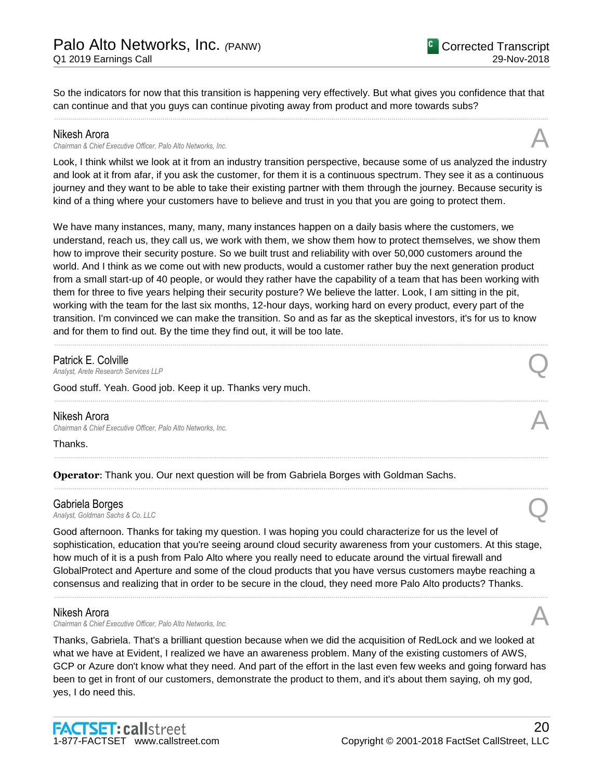So the indicators for now that this transition is happening very effectively. But what gives you confidence that that can continue and that you guys can continue pivoting away from product and more towards subs? ......................................................................................................................................................................................................................................................

#### Nikesh Arora

*Chairman & Chief Executive Officer, Palo Alto Networks, Inc.* A

Look, I think whilst we look at it from an industry transition perspective, because some of us analyzed the industry and look at it from afar, if you ask the customer, for them it is a continuous spectrum. They see it as a continuous journey and they want to be able to take their existing partner with them through the journey. Because security is kind of a thing where your customers have to believe and trust in you that you are going to protect them.

We have many instances, many, many, many instances happen on a daily basis where the customers, we understand, reach us, they call us, we work with them, we show them how to protect themselves, we show them how to improve their security posture. So we built trust and reliability with over 50,000 customers around the world. And I think as we come out with new products, would a customer rather buy the next generation product from a small start-up of 40 people, or would they rather have the capability of a team that has been working with them for three to five years helping their security posture? We believe the latter. Look, I am sitting in the pit, working with the team for the last six months, 12-hour days, working hard on every product, every part of the transition. I'm convinced we can make the transition. So and as far as the skeptical investors, it's for us to know and for them to find out. By the time they find out, it will be too late.

......................................................................................................................................................................................................................................................

......................................................................................................................................................................................................................................................

......................................................................................................................................................................................................................................................

......................................................................................................................................................................................................................................................

# Patrick E. Colville

**Patrick E. Colville**<br> *Analyst, Arete Research Services LLP* 

Good stuff. Yeah. Good job. Keep it up. Thanks very much.

# Nikesh Arora

*Chairman & Chief Executive Officer, Palo Alto Networks, Inc.* A

Thanks.

**Operator**: Thank you. Our next question will be from Gabriela Borges with Goldman Sachs.

#### Gabriela Borges

**Gabriela Borges**<br>Analyst, Goldman Sachs & Co. LLC

Good afternoon. Thanks for taking my question. I was hoping you could characterize for us the level of sophistication, education that you're seeing around cloud security awareness from your customers. At this stage, how much of it is a push from Palo Alto where you really need to educate around the virtual firewall and GlobalProtect and Aperture and some of the cloud products that you have versus customers maybe reaching a consensus and realizing that in order to be secure in the cloud, they need more Palo Alto products? Thanks.

......................................................................................................................................................................................................................................................

# Nikesh Arora

*Chairman & Chief Executive Officer, Palo Alto Networks, Inc.* A

Thanks, Gabriela. That's a brilliant question because when we did the acquisition of RedLock and we looked at what we have at Evident, I realized we have an awareness problem. Many of the existing customers of AWS, GCP or Azure don't know what they need. And part of the effort in the last even few weeks and going forward has been to get in front of our customers, demonstrate the product to them, and it's about them saying, oh my god, yes, I do need this.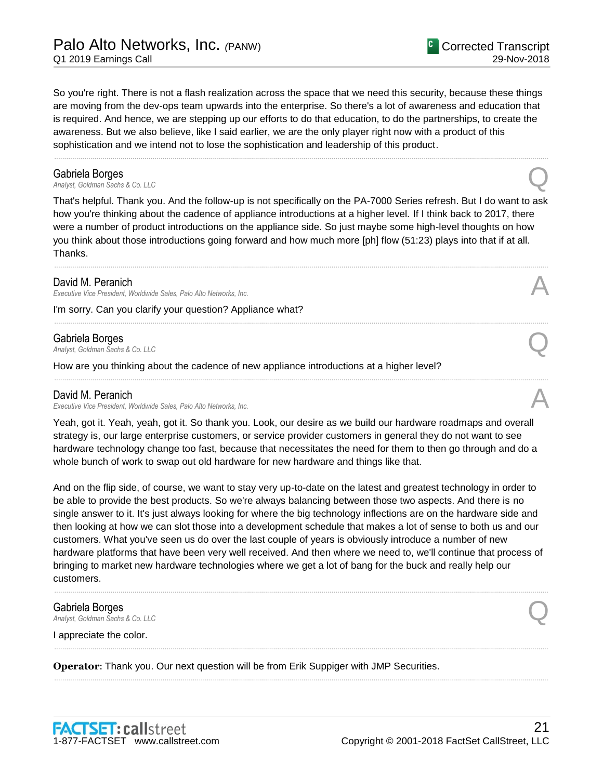So you're right. There is not a flash realization across the space that we need this security, because these things are moving from the dev-ops team upwards into the enterprise. So there's a lot of awareness and education that is required. And hence, we are stepping up our efforts to do that education, to do the partnerships, to create the awareness. But we also believe, like I said earlier, we are the only player right now with a product of this

Corrected Transcript

29-Nov-2018

**Gabriela Borges**<br>Analyst, Goldman Sachs & Co. LLC **Gabriela Borges**<br>Analyst, Goldman Sachs & Co. LLC

That's helpful. Thank you. And the follow-up is not specifically on the PA-7000 Series refresh. But I do want to ask how you're thinking about the cadence of appliance introductions at a higher level. If I think back to 2017, there were a number of product introductions on the appliance side. So just maybe some high-level thoughts on how you think about those introductions going forward and how much more [ph] flow (51:23) plays into that if at all. Thanks.

......................................................................................................................................................................................................................................................

......................................................................................................................................................................................................................................................

......................................................................................................................................................................................................................................................

......................................................................................................................................................................................................................................................

#### David M. Peranich

*Executive Vice President, Worldwide Sales, Palo Alto Networks, Inc.* A

I'm sorry. Can you clarify your question? Appliance what?

#### Gabriela Borges

**Gabriela Borges**<br>Analyst, Goldman Sachs & Co. LLC

How are you thinking about the cadence of new appliance introductions at a higher level?

sophistication and we intend not to lose the sophistication and leadership of this product.

#### David M. Peranich

*Executive Vice President, Worldwide Sales, Palo Alto Networks, Inc.* 

Yeah, got it. Yeah, yeah, got it. So thank you. Look, our desire as we build our hardware roadmaps and overall strategy is, our large enterprise customers, or service provider customers in general they do not want to see hardware technology change too fast, because that necessitates the need for them to then go through and do a whole bunch of work to swap out old hardware for new hardware and things like that.

And on the flip side, of course, we want to stay very up-to-date on the latest and greatest technology in order to be able to provide the best products. So we're always balancing between those two aspects. And there is no single answer to it. It's just always looking for where the big technology inflections are on the hardware side and then looking at how we can slot those into a development schedule that makes a lot of sense to both us and our customers. What you've seen us do over the last couple of years is obviously introduce a number of new hardware platforms that have been very well received. And then where we need to, we'll continue that process of bringing to market new hardware technologies where we get a lot of bang for the buck and really help our customers.

......................................................................................................................................................................................................................................................

......................................................................................................................................................................................................................................................

......................................................................................................................................................................................................................................................

# Gabriela Borges **Gabriela Borges**<br>Analyst, Goldman Sachs & Co. LLC

I appreciate the color.

**Operator**: Thank you. Our next question will be from Erik Suppiger with JMP Securities.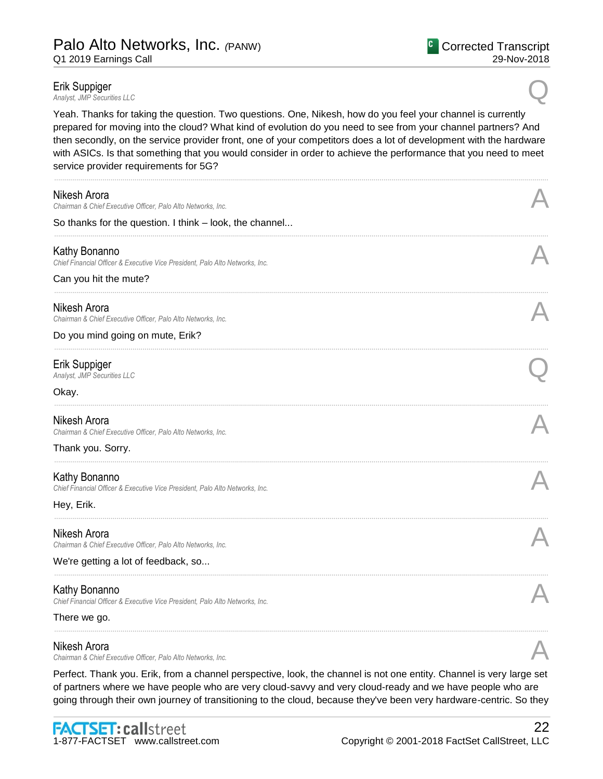**Erik Suppiger**<br>Analyst, JMP Securities LLC *Analyst, JMP Securities LLC* Q

Yeah. Thanks for taking the question. Two questions. One, Nikesh, how do you feel your channel is currently prepared for moving into the cloud? What kind of evolution do you need to see from your channel partners? And then secondly, on the service provider front, one of your competitors does a lot of development with the hardware with ASICs. Is that something that you would consider in order to achieve the performance that you need to meet service provider requirements for 5G?

| Nikesh Arora<br>Chairman & Chief Executive Officer, Palo Alto Networks, Inc.                  |  |
|-----------------------------------------------------------------------------------------------|--|
| So thanks for the question. I think - look, the channel                                       |  |
| Kathy Bonanno<br>Chief Financial Officer & Executive Vice President, Palo Alto Networks, Inc. |  |
| Can you hit the mute?                                                                         |  |
| Nikesh Arora<br>Chairman & Chief Executive Officer, Palo Alto Networks, Inc.                  |  |
| Do you mind going on mute, Erik?                                                              |  |
| Erik Suppiger<br>Analyst, JMP Securities LLC                                                  |  |
| Okay.                                                                                         |  |
| Nikesh Arora<br>Chairman & Chief Executive Officer, Palo Alto Networks, Inc.                  |  |
| Thank you. Sorry.                                                                             |  |
| Kathy Bonanno<br>Chief Financial Officer & Executive Vice President, Palo Alto Networks, Inc. |  |
| Hey, Erik.                                                                                    |  |
| Nikesh Arora<br>Chairman & Chief Executive Officer, Palo Alto Networks, Inc.                  |  |
| We're getting a lot of feedback, so                                                           |  |
| Kathy Bonanno                                                                                 |  |
| Chief Financial Officer & Executive Vice President, Palo Alto Networks, Inc.<br>There we go.  |  |
| Nikesh Arora                                                                                  |  |
| Chairman & Chief Executive Officer, Palo Alto Networks, Inc.                                  |  |

Perfect. Thank you. Erik, from a channel perspective, look, the channel is not one entity. Channel is very large set of partners where we have people who are very cloud-savvy and very cloud-ready and we have people who are going through their own journey of transitioning to the cloud, because they've been very hardware-centric. So they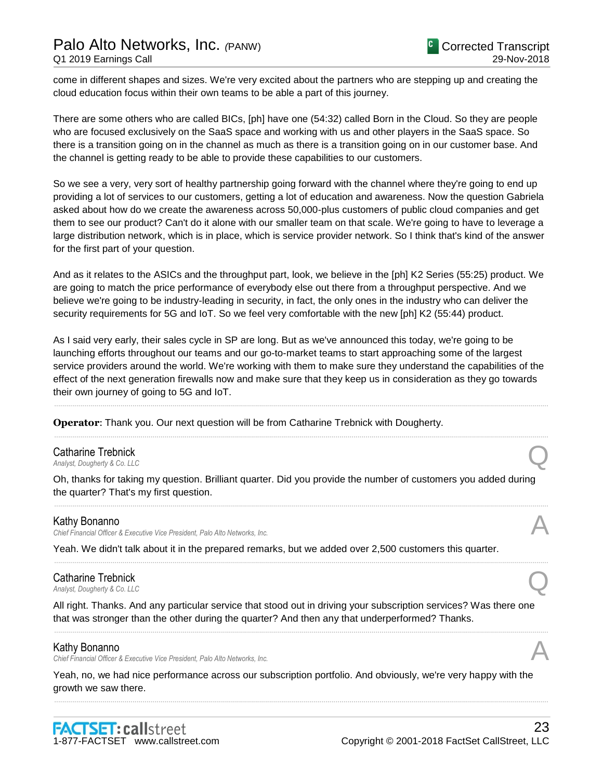# Palo Alto Networks, Inc. *(*PANW) Q1 2019 Earnings Call

come in different shapes and sizes. We're very excited about the partners who are stepping up and creating the cloud education focus within their own teams to be able a part of this journey.

There are some others who are called BICs, [ph] have one (54:32) called Born in the Cloud. So they are people who are focused exclusively on the SaaS space and working with us and other players in the SaaS space. So there is a transition going on in the channel as much as there is a transition going on in our customer base. And the channel is getting ready to be able to provide these capabilities to our customers.

So we see a very, very sort of healthy partnership going forward with the channel where they're going to end up providing a lot of services to our customers, getting a lot of education and awareness. Now the question Gabriela asked about how do we create the awareness across 50,000-plus customers of public cloud companies and get them to see our product? Can't do it alone with our smaller team on that scale. We're going to have to leverage a large distribution network, which is in place, which is service provider network. So I think that's kind of the answer for the first part of your question.

And as it relates to the ASICs and the throughput part, look, we believe in the [ph] K2 Series (55:25) product. We are going to match the price performance of everybody else out there from a throughput perspective. And we believe we're going to be industry-leading in security, in fact, the only ones in the industry who can deliver the security requirements for 5G and IoT. So we feel very comfortable with the new [ph] K2 (55:44) product.

As I said very early, their sales cycle in SP are long. But as we've announced this today, we're going to be launching efforts throughout our teams and our go-to-market teams to start approaching some of the largest service providers around the world. We're working with them to make sure they understand the capabilities of the effect of the next generation firewalls now and make sure that they keep us in consideration as they go towards their own journey of going to 5G and IoT.

......................................................................................................................................................................................................................................................

......................................................................................................................................................................................................................................................

**Operator**: Thank you. Our next question will be from Catharine Trebnick with Dougherty.

# Catharine Trebnick<br>Analyst, Dougherty & Co. LLC **Catharine Trebnick**<br>Analyst, Dougherty & Co. LLC

Oh, thanks for taking my question. Brilliant quarter. Did you provide the number of customers you added during the quarter? That's my first question.

......................................................................................................................................................................................................................................................

......................................................................................................................................................................................................................................................

#### Kathy Bonanno

*Chief Financial Officer & Executive Vice President, Palo Alto Networks, Inc.* A

Yeah. We didn't talk about it in the prepared remarks, but we added over 2,500 customers this quarter.

# Catharine Trebnick **Catharine Trebnick**<br>Analyst, Dougherty & Co. LLC

All right. Thanks. And any particular service that stood out in driving your subscription services? Was there one that was stronger than the other during the quarter? And then any that underperformed? Thanks.

......................................................................................................................................................................................................................................................

#### Kathy Bonanno

*Chief Financial Officer & Executive Vice President, Palo Alto Networks, Inc.* A

Yeah, no, we had nice performance across our subscription portfolio. And obviously, we're very happy with the growth we saw there.

......................................................................................................................................................................................................................................................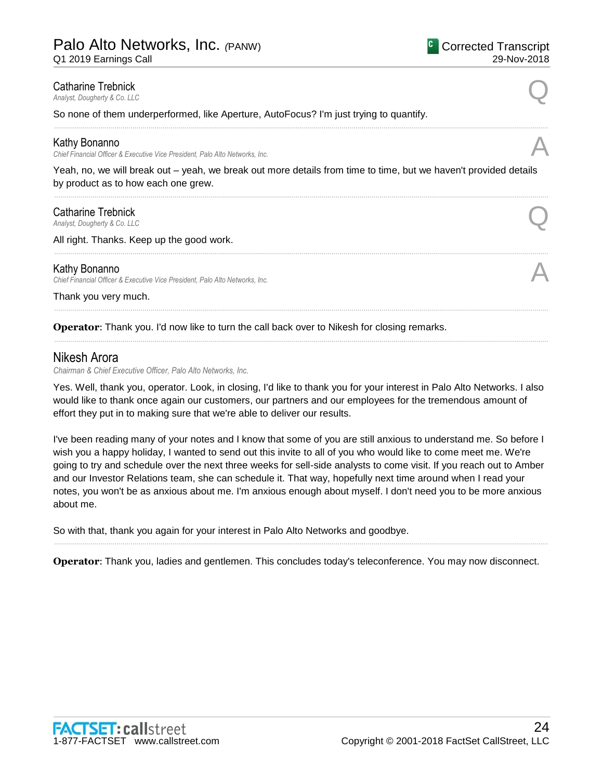Q1 2019 Earnings Call

# **Catharine Trebnick**<br>Analyst, Dougherty & Co. LLC **Catharine Trebnick**<br>Analyst, Dougherty & Co. LLC

So none of them underperformed, like Aperture, AutoFocus? I'm just trying to quantify.

### Kathy Bonanno

*Chief Financial Officer & Executive Vice President, Palo Alto Networks, Inc.* A

Yeah, no, we will break out – yeah, we break out more details from time to time, but we haven't provided details by product as to how each one grew.

......................................................................................................................................................................................................................................................

......................................................................................................................................................................................................................................................

......................................................................................................................................................................................................................................................

......................................................................................................................................................................................................................................................

# **Catharine Trebnick**<br>Analyst, Dougherty & Co. LLC **Catharine Trebnick**<br>Analyst, Dougherty & Co. LLC

All right. Thanks. Keep up the good work.

### Kathy Bonanno

*Chief Financial Officer & Executive Vice President, Palo Alto Networks, Inc.* A

Thank you very much.

**Operator:** Thank you. I'd now like to turn the call back over to Nikesh for closing remarks.

# Nikesh Arora

*Chairman & Chief Executive Officer, Palo Alto Networks, Inc.*

Yes. Well, thank you, operator. Look, in closing, I'd like to thank you for your interest in Palo Alto Networks. I also would like to thank once again our customers, our partners and our employees for the tremendous amount of effort they put in to making sure that we're able to deliver our results.

I've been reading many of your notes and I know that some of you are still anxious to understand me. So before I wish you a happy holiday, I wanted to send out this invite to all of you who would like to come meet me. We're going to try and schedule over the next three weeks for sell-side analysts to come visit. If you reach out to Amber and our Investor Relations team, she can schedule it. That way, hopefully next time around when I read your notes, you won't be as anxious about me. I'm anxious enough about myself. I don't need you to be more anxious about me.

So with that, thank you again for your interest in Palo Alto Networks and goodbye.

**Operator**: Thank you, ladies and gentlemen. This concludes today's teleconference. You may now disconnect.

......................................................................................................................................................................................................................................................